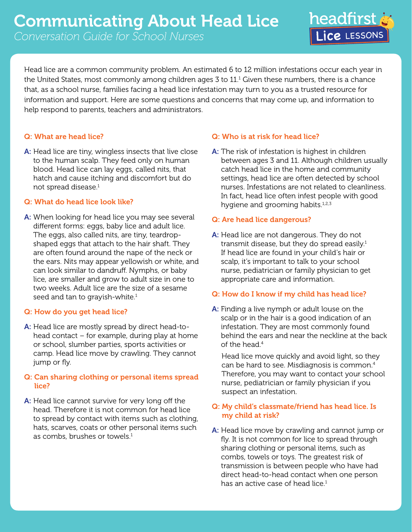Head lice are a common community problem. An estimated 6 to 12 million infestations occur each year in the United States, most commonly among children ages 3 to  $11.^{\rm t}$  Given these numbers, there is a chance that, as a school nurse, families facing a head lice infestation may turn to you as a trusted resource for information and support. Here are some questions and concerns that may come up, and information to help respond to parents, teachers and administrators.

# Q: What are head lice?

A: Head lice are tiny, wingless insects that live close to the human scalp. They feed only on human blood. Head lice can lay eggs, called nits, that hatch and cause itching and discomfort but do not spread disease.1

## Q: What do head lice look like?

A: When looking for head lice you may see several different forms: eggs, baby lice and adult lice. The eggs, also called nits, are tiny, teardropshaped eggs that attach to the hair shaft. They are often found around the nape of the neck or the ears. Nits may appear yellowish or white, and can look similar to dandruff. Nymphs, or baby lice, are smaller and grow to adult size in one to two weeks. Adult lice are the size of a sesame seed and tan to grayish-white.<sup>1</sup>

# Q: How do you get head lice?

A: Head lice are mostly spread by direct head-tohead contact – for example, during play at home or school, slumber parties, sports activities or camp. Head lice move by crawling. They cannot jump or fly.

# Q: Can sharing clothing or personal items spread lice?

A: Head lice cannot survive for very long off the head. Therefore it is not common for head lice to spread by contact with items such as clothing, hats, scarves, coats or other personal items such as combs, brushes or towels.<sup>1</sup>

## Q: Who is at risk for head lice?

A: The risk of infestation is highest in children between ages 3 and 11. Although children usually catch head lice in the home and community settings, head lice are often detected by school nurses. Infestations are not related to cleanliness. In fact, head lice often infest people with good hygiene and grooming habits. $1,2,3$ 

**headfirst** 

## Q: Are head lice dangerous?

A: Head lice are not dangerous. They do not transmit disease, but they do spread easily. $1$ If head lice are found in your child's hair or scalp, it's important to talk to your school nurse, pediatrician or family physician to get appropriate care and information.

#### Q: How do I know if my child has head lice?

A: Finding a live nymph or adult louse on the scalp or in the hair is a good indication of an infestation. They are most commonly found behind the ears and near the neckline at the back of the head.4

Head lice move quickly and avoid light, so they can be hard to see. Misdiagnosis is common.4 Therefore, you may want to contact your school nurse, pediatrician or family physician if you suspect an infestation.

# Q: My child's classmate/friend has head lice. Is my child at risk?

A: Head lice move by crawling and cannot jump or fly. It is not common for lice to spread through sharing clothing or personal items, such as combs, towels or toys. The greatest risk of transmission is between people who have had direct head-to-head contact when one person has an active case of head lice. $1$